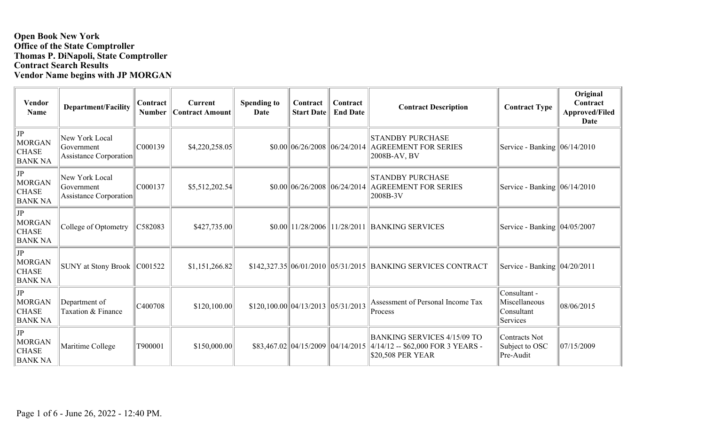## **Open Book New York Office of the State Comptroller Thomas P. DiNapoli, State Comptroller Contract Search Results Vendor Name begins with JP MORGAN**

| <b>Vendor</b><br><b>Name</b>                       | <b>Department/Facility</b>                             | Contract<br><b>Number</b> | <b>Current</b><br><b>Contract Amount</b> | <b>Spending to</b><br>Date                | Contract<br><b>Start Date</b>                      | Contract<br><b>End Date</b> | <b>Contract Description</b>                                                                  | <b>Contract Type</b>                                    | Original<br>Contract<br><b>Approved/Filed</b><br>Date |
|----------------------------------------------------|--------------------------------------------------------|---------------------------|------------------------------------------|-------------------------------------------|----------------------------------------------------|-----------------------------|----------------------------------------------------------------------------------------------|---------------------------------------------------------|-------------------------------------------------------|
| $ $ JP<br>MORGAN<br><b>CHASE</b><br><b>BANK NA</b> | New York Local<br>Government<br>Assistance Corporation | C000139                   | \$4,220,258.05                           |                                           | \$0.00  06/26/2008  06/24/2014                     |                             | <b>STANDBY PURCHASE</b><br><b>AGREEMENT FOR SERIES</b><br>2008B-AV, BV                       | Service - Banking   06/14/2010                          |                                                       |
| JP <br>MORGAN<br><b>CHASE</b><br><b>BANK NA</b>    | New York Local<br>Government<br>Assistance Corporation | C000137                   | \$5,512,202.54                           |                                           | \$0.00 06/26/2008                                  | 06/24/2014                  | <b>STANDBY PURCHASE</b><br><b>AGREEMENT FOR SERIES</b><br>2008B-3V                           | Service - Banking $\ 06/14/2010$                        |                                                       |
| JP <br>MORGAN<br><b>CHASE</b><br><b>BANK NA</b>    | College of Optometry                                   | C582083                   | \$427,735.00                             |                                           |                                                    |                             | \$0.00 11/28/2006 11/28/2011 BANKING SERVICES                                                | Service - Banking   04/05/2007                          |                                                       |
| JP <br>MORGAN<br><b>CHASE</b><br><b>BANK NA</b>    | SUNY at Stony Brook   C001522                          |                           | \$1,151,266.82                           |                                           |                                                    |                             | \$142,327.35 06/01/2010 05/31/2015 BANKING SERVICES CONTRACT                                 | Service - Banking $ 04/20/2011$                         |                                                       |
| $ $ JP<br>MORGAN<br><b>CHASE</b><br><b>BANK NA</b> | Department of<br>Taxation & Finance                    | C400708                   | \$120,100.00                             | $$120,100.00 \, 04/13/2013 \, 05/31/2013$ |                                                    |                             | Assessment of Personal Income Tax<br>Process                                                 | Consultant -<br>Miscellaneous<br>Consultant<br>Services | 08/06/2015                                            |
| JP<br>MORGAN<br><b>CHASE</b><br><b>BANK NA</b>     | Maritime College                                       | T900001                   | \$150,000.00                             |                                           | $$83,467.02 \,   \, 04/15/2009 \,   \, 04/14/2015$ |                             | <b>BANKING SERVICES 4/15/09 TO</b><br>4/14/12 -- \$62,000 FOR 3 YEARS -<br>\$20,508 PER YEAR | Contracts Not<br>Subject to OSC<br>Pre-Audit            | 07/15/2009                                            |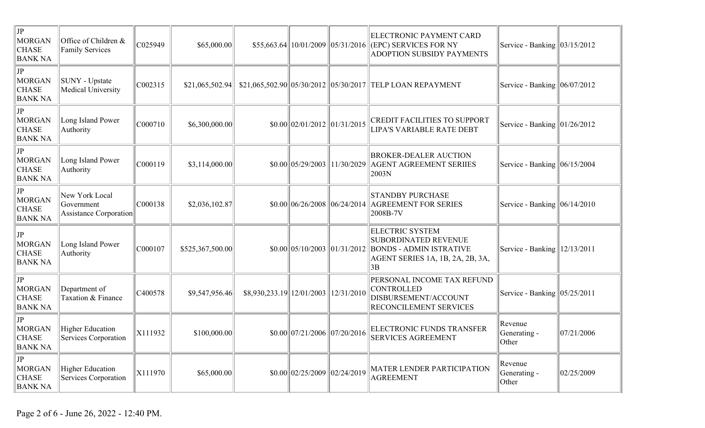| $ $ JP<br>MORGAN<br><b>CHASE</b><br><b>BANK NA</b>     | Office of Children &<br><b>Family Services</b>         | C025949 | \$65,000.00      |                              |                                                   |            | ELECTRONIC PAYMENT CARD<br>\$55,663.64 10/01/2009 05/31/2016 (EPC) SERVICES FOR NY<br>ADOPTION SUBSIDY PAYMENTS            | Service - Banking $\vert 03/15/2012 \vert$ |            |
|--------------------------------------------------------|--------------------------------------------------------|---------|------------------|------------------------------|---------------------------------------------------|------------|----------------------------------------------------------------------------------------------------------------------------|--------------------------------------------|------------|
| JP<br>MORGAN<br><b>CHASE</b><br><b>BANK NA</b>         | SUNY - Upstate<br>Medical University                   | C002315 | \$21,065,502.94] |                              |                                                   |            | \$21,065,502.90 05/30/2012 05/30/2017 TELP LOAN REPAYMENT                                                                  | Service - Banking $ 06/07/2012$            |            |
| JP<br>MORGAN<br><b>CHASE</b><br><b>BANK NA</b>         | Long Island Power<br>Authority                         | C000710 | \$6,300,000.00   |                              | $$0.00 \,   \, 02/01/2012 \,   \, 01/31/2015$     |            | <b>CREDIT FACILITIES TO SUPPORT</b><br>LIPA'S VARIABLE RATE DEBT                                                           | Service - Banking $\vert 01/26/2012 \vert$ |            |
| JP<br>MORGAN<br><b>CHASE</b><br><b>BANK NA</b>         | Long Island Power<br>Authority                         | C000119 | \$3,114,000.00   |                              | $$0.00 \, 05/29/2003$                             | 11/30/2029 | <b>BROKER-DEALER AUCTION</b><br><b>AGENT AGREEMENT SERIIES</b><br> 2003N                                                   | Service - Banking $ 06/15/2004$            |            |
| JP<br>MORGAN<br><b>CHASE</b><br><b>BANK NA</b>         | New York Local<br>Government<br>Assistance Corporation | C000138 | \$2,036,102.87   |                              | $$0.00 \, 06/26/2008 \, 06/24/2014$               |            | <b>STANDBY PURCHASE</b><br><b>AGREEMENT FOR SERIES</b><br>2008B-7V                                                         | Service - Banking $\ 06/14/2010$           |            |
| JP <br>MORGAN<br><b>CHASE</b><br><b>BANK NA</b>        | Long Island Power<br>Authority                         | C000107 | \$525,367,500.00 |                              | $$0.00 \parallel 05/10/2003 \parallel 01/31/2012$ |            | <b>ELECTRIC SYSTEM</b><br>SUBORDINATED REVENUE<br><b>BONDS - ADMIN ISTRATIVE</b><br>AGENT SERIES 1A, 1B, 2A, 2B, 3A,<br>3B | Service - Banking $12/13/2011$             |            |
| JP <br>MORGAN<br><b>CHASE</b><br><b>BANK NA</b>        | Department of<br>Taxation & Finance                    | C400578 | \$9,547,956.46   | $$8,930,233.19$   12/01/2003 |                                                   | 12/31/2010 | PERSONAL INCOME TAX REFUND<br><b>CONTROLLED</b><br>DISBURSEMENT/ACCOUNT<br>RECONCILEMENT SERVICES                          | Service - Banking $ 05/25/2011$            |            |
| JP<br>MORGAN<br><b>CHASE</b><br><b>BANK NA</b>         | <b>Higher Education</b><br>Services Corporation        | X111932 | \$100,000.00]    |                              | $$0.00 \,   \, 07/21/2006 \,   \, 07/20/2016$     |            | ELECTRONIC FUNDS TRANSFER<br><b>SERVICES AGREEMENT</b>                                                                     | Revenue<br>Generating -<br>Other           | 07/21/2006 |
| JP <br><b>MORGAN</b><br><b>CHASE</b><br><b>BANK NA</b> | <b>Higher Education</b><br>Services Corporation        | X111970 | \$65,000.00      |                              | $$0.00 \, 02/25/2009 \, 02/24/2019$               |            | MATER LENDER PARTICIPATION<br><b>AGREEMENT</b>                                                                             | Revenue<br>Generating -<br>Other           | 02/25/2009 |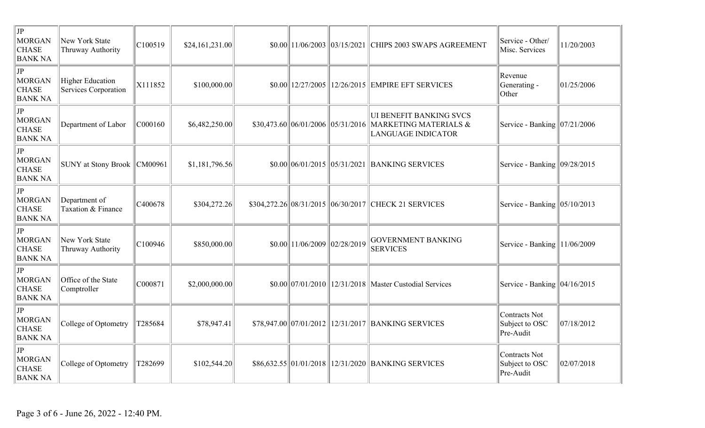| $ $ JP<br>MORGAN<br><b>CHASE</b><br><b>BANK NA</b> | New York State<br>Thruway Authority                    | C100519 | \$24,161,231.00 | $$0.00$   11/06/2003  03/15/2021                                        | CHIPS 2003 SWAPS AGREEMENT                                                                      | Service - Other/<br>Misc. Services                  | 11/20/2003 |
|----------------------------------------------------|--------------------------------------------------------|---------|-----------------|-------------------------------------------------------------------------|-------------------------------------------------------------------------------------------------|-----------------------------------------------------|------------|
| $ $ JP<br>MORGAN<br><b>CHASE</b><br><b>BANK NA</b> | <b>Higher Education</b><br><b>Services Corporation</b> | X111852 | \$100,000.00    | $$0.00$   12/27/2005                                                    | 12/26/2015 EMPIRE EFT SERVICES                                                                  | Revenue<br>Generating -<br>Other                    | 01/25/2006 |
| JP <br>MORGAN<br><b>CHASE</b><br><b>BANK NA</b>    | Department of Labor                                    | C000160 | \$6,482,250.00  | $$30,473.60 \,   \, 06/01/2006 \,   \, 05/31/2016$                      | <b>UI BENEFIT BANKING SVCS</b><br><b>MARKETING MATERIALS &amp;</b><br><b>LANGUAGE INDICATOR</b> | Service - Banking   07/21/2006                      |            |
| JP <br>MORGAN<br><b>CHASE</b><br><b>BANK NA</b>    | <b>SUNY</b> at Stony Brook                             | CM00961 | \$1,181,796.56  |                                                                         | \$0.00 06/01/2015 05/31/2021 BANKING SERVICES                                                   | Service - Banking   09/28/2015                      |            |
| $ $ JP<br>MORGAN<br><b>CHASE</b><br><b>BANK NA</b> | Department of<br>Taxation & Finance                    | C400678 | \$304,272.26    |                                                                         | \$304,272.26 08/31/2015 06/30/2017 CHECK 21 SERVICES                                            | Service - Banking $ 05/10/2013$                     |            |
| $ $ JP<br>MORGAN<br><b>CHASE</b><br><b>BANK NA</b> | New York State<br>Thruway Authority                    | C100946 | \$850,000.00    | $\left  \frac{11}{06}{2009} \right  \left  \frac{02}{28}{2019} \right $ | <b>GOVERNMENT BANKING</b><br><b>SERVICES</b>                                                    | Service - Banking $11/06/2009$                      |            |
| JP <br>MORGAN<br><b>CHASE</b><br><b>BANK NA</b>    | Office of the State<br>Comptroller                     | C000871 | \$2,000,000.00  |                                                                         | $$0.00$ 07/01/2010 12/31/2018 Master Custodial Services                                         | Service - Banking   04/16/2015                      |            |
| $ $ JP<br>MORGAN<br><b>CHASE</b><br><b>BANK NA</b> | College of Optometry                                   | T285684 | \$78,947.41     |                                                                         | \$78,947.00 07/01/2012 12/31/2017 BANKING SERVICES                                              | <b>Contracts Not</b><br>Subject to OSC<br>Pre-Audit | 07/18/2012 |
| $ $ JP<br>MORGAN<br><b>CHASE</b><br><b>BANK NA</b> | College of Optometry                                   | T282699 | \$102,544.20    |                                                                         | \$86,632.55 01/01/2018 12/31/2020 BANKING SERVICES                                              | Contracts Not<br>Subject to OSC<br>Pre-Audit        | 02/07/2018 |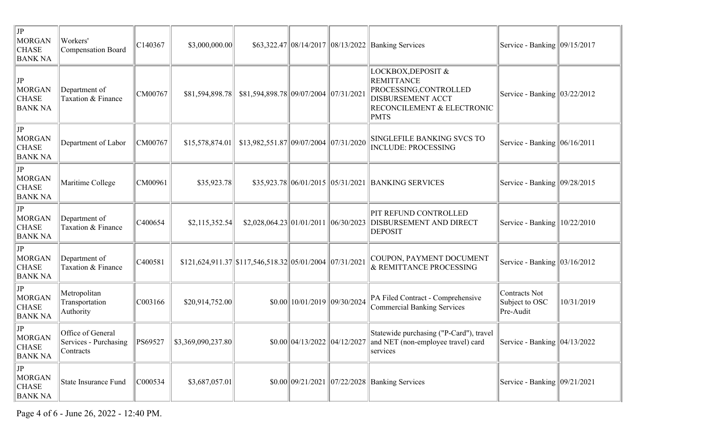| JP<br><b>MORGAN</b><br><b>CHASE</b><br><b>BANK NA</b> | Workers'<br>Compensation Board                          | C140367     | \$3,000,000.00]    |                                                               |                                  | \$63,322.47 08/14/2017 08/13/2022 Banking Services                                                                                         | Service - Banking $\parallel$ 09/15/2017            |            |
|-------------------------------------------------------|---------------------------------------------------------|-------------|--------------------|---------------------------------------------------------------|----------------------------------|--------------------------------------------------------------------------------------------------------------------------------------------|-----------------------------------------------------|------------|
| JP<br><b>MORGAN</b><br><b>CHASE</b><br><b>BANK NA</b> | Department of<br>Taxation & Finance                     | CM00767     | \$81,594,898.78    | \$81,594,898.78 09/07/2004 07/31/2021                         |                                  | LOCKBOX, DEPOSIT &<br><b>REMITTANCE</b><br>PROCESSING, CONTROLLED<br><b>DISBURSEMENT ACCT</b><br>RECONCILEMENT & ELECTRONIC<br><b>PMTS</b> | Service - Banking   03/22/2012                      |            |
| JP<br><b>MORGAN</b><br><b>CHASE</b><br><b>BANK NA</b> | Department of Labor                                     | CM00767     | \$15,578,874.01    | \$13,982,551.87  09/07/2004  07/31/2020                       |                                  | <b>SINGLEFILE BANKING SVCS TO</b><br><b>INCLUDE: PROCESSING</b>                                                                            | Service - Banking $\ 06/16/2011$                    |            |
| JP<br><b>MORGAN</b><br><b>CHASE</b><br><b>BANK NA</b> | Maritime College                                        | CM00961     | \$35,923.78        |                                                               |                                  | \$35,923.78 06/01/2015 05/31/2021 BANKING SERVICES                                                                                         | Service - Banking $\vert 09/28/2015 \vert$          |            |
| JP<br><b>MORGAN</b><br><b>CHASE</b><br><b>BANK NA</b> | Department of<br>Taxation & Finance                     | C400654     | \$2,115,352.54     | $$2,028,064.23 \, 01/01/2011 \, 06/30/2023$                   |                                  | PIT REFUND CONTROLLED<br>DISBURSEMENT AND DIRECT<br><b>DEPOSIT</b>                                                                         | Service - Banking $\vert 10/22/2010 \vert$          |            |
| JP<br><b>MORGAN</b><br><b>CHASE</b><br><b>BANK NA</b> | Department of<br>Taxation & Finance                     | C400581     |                    | $$121,624,911.37$ $$117,546,518.32$ $05/01/2004$ $07/31/2021$ |                                  | COUPON, PAYMENT DOCUMENT<br>& REMITTANCE PROCESSING                                                                                        | Service - Banking $\ 03/16/2012$                    |            |
| JP<br><b>MORGAN</b><br><b>CHASE</b><br><b>BANK NA</b> | Metropolitan<br>Transportation<br>Authority             | C003166     | \$20,914,752.00    |                                                               | $$0.00$   10/01/2019  09/30/2024 | PA Filed Contract - Comprehensive<br><b>Commercial Banking Services</b>                                                                    | <b>Contracts Not</b><br>Subject to OSC<br>Pre-Audit | 10/31/2019 |
| JP<br><b>MORGAN</b><br><b>CHASE</b><br><b>BANK NA</b> | Office of General<br>Services - Purchasing<br>Contracts | $\ PS69527$ | \$3,369,090,237.80 |                                                               |                                  | Statewide purchasing ("P-Card"), travel<br>$$0.00  04/13/2022  04/12/2027  $ and NET (non-employee travel) card<br>services                | Service - Banking $\vert 04/13/2022 \vert$          |            |
| JP<br><b>MORGAN</b><br><b>CHASE</b><br><b>BANK NA</b> | State Insurance Fund                                    | C000534     | \$3,687,057.01     |                                                               |                                  | \$0.00 09/21/2021 07/22/2028 Banking Services                                                                                              | Service - Banking   09/21/2021                      |            |

Page 4 of 6 - June 26, 2022 - 12:40 PM.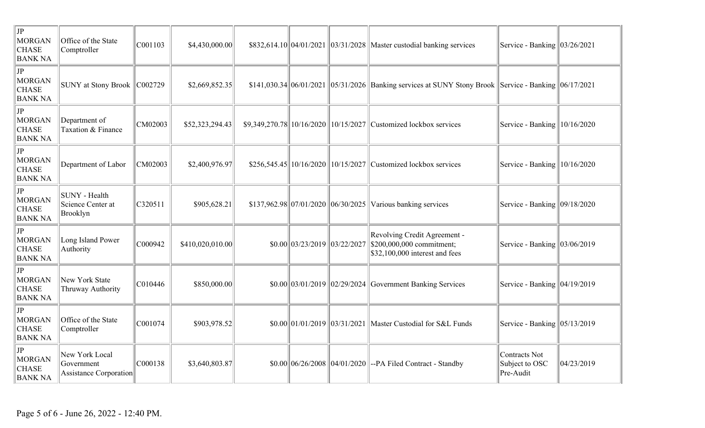| $ $ JP<br><b>MORGAN</b><br><b>CHASE</b><br><b>BANK NA</b>            | Office of the State<br>Comptroller                     | C001103 | \$4,430,000.00   |                                           |                                               | \$832,614.10 04/01/2021 03/31/2028 Master custodial banking services                                                                                                                                                                                           | Service - Banking   03/26/2021               |            |
|----------------------------------------------------------------------|--------------------------------------------------------|---------|------------------|-------------------------------------------|-----------------------------------------------|----------------------------------------------------------------------------------------------------------------------------------------------------------------------------------------------------------------------------------------------------------------|----------------------------------------------|------------|
| JP<br><b>MORGAN</b><br><b>CHASE</b><br><b>BANK NA</b>                | SUNY at Stony Brook   C002729                          |         | \$2,669,852.35   |                                           |                                               | $$141,030.34 \,   \, 06/01/2021 \,   \, 05/31/2026 \,   \,$ Banking services at SUNY Stony Brook Service - Banking $  \, 06/17/2021 \,   \, 06/17/2021 \,   \, 06/17/2021 \,   \, 06/17/2021 \,   \, 06/17/2021 \,   \, 06/17/2021 \,   \, 06/17/2021 \,   \,$ |                                              |            |
| JP<br><b>MORGAN</b><br><b>CHASE</b><br><b>BANK NA</b>                | Department of<br>Taxation & Finance                    | CM02003 | \$52,323,294.43  |                                           |                                               | $$9,349,270.78$   10/16/2020  10/15/2027  Customized lockbox services                                                                                                                                                                                          | Service - Banking $10/16/2020$               |            |
| $  \mathrm{JP}  $<br>MORGAN<br><b>CHASE</b><br><b>BANK NA</b>        | Department of Labor                                    | CM02003 | \$2,400,976.97   |                                           |                                               | $$256,545.45$   10/16/2020  10/15/2027  Customized lockbox services                                                                                                                                                                                            | Service - Banking $\  10/16/2020$            |            |
| JP<br><b>MORGAN</b><br><b>CHASE</b><br><b>BANK NA</b>                | SUNY - Health<br>Science Center at<br>Brooklyn         | C320511 | \$905,628.21     | $$137,962.98 \, 07/01/2020 \, 06/30/2025$ |                                               | Various banking services                                                                                                                                                                                                                                       | Service - Banking   09/18/2020               |            |
| $ $ JP<br><b>MORGAN</b><br><b>CHASE</b><br><b>BANK NA</b>            | Long Island Power<br>Authority                         | C000942 | \$410,020,010.00 |                                           | $$0.00 \,   \, 03/23/2019 \,   \, 03/22/2027$ | Revolving Credit Agreement -<br>\$200,000,000 commitment;<br>\$32,100,000 interest and fees                                                                                                                                                                    | Service - Banking $\vert 03/06/2019 \rangle$ |            |
| JP<br><b>MORGAN</b><br><b>CHASE</b><br><b>BANK NA</b>                | New York State<br>Thruway Authority                    | C010446 | \$850,000.00     |                                           | $$0.00 \,   \, 03/01/2019 \,   \, 02/29/2024$ | <b>Government Banking Services</b>                                                                                                                                                                                                                             | Service - Banking   04/19/2019               |            |
| $  \mathrm{JP}  $<br><b>MORGAN</b><br><b>CHASE</b><br><b>BANK NA</b> | Office of the State<br>Comptroller                     | C001074 | \$903,978.52     |                                           | $$0.00 \,   \, 01/01/2019 \,   \, 03/31/2021$ | Master Custodial for S&L Funds                                                                                                                                                                                                                                 | Service - Banking   05/13/2019               |            |
| $  \mathrm{JP}  $<br><b>MORGAN</b><br><b>CHASE</b><br><b>BANK NA</b> | New York Local<br>Government<br>Assistance Corporation | C000138 | \$3,640,803.87   |                                           |                                               | $$0.00$ 06/26/2008 04/01/2020 --PA Filed Contract - Standby                                                                                                                                                                                                    | Contracts Not<br>Subject to OSC<br>Pre-Audit | 04/23/2019 |